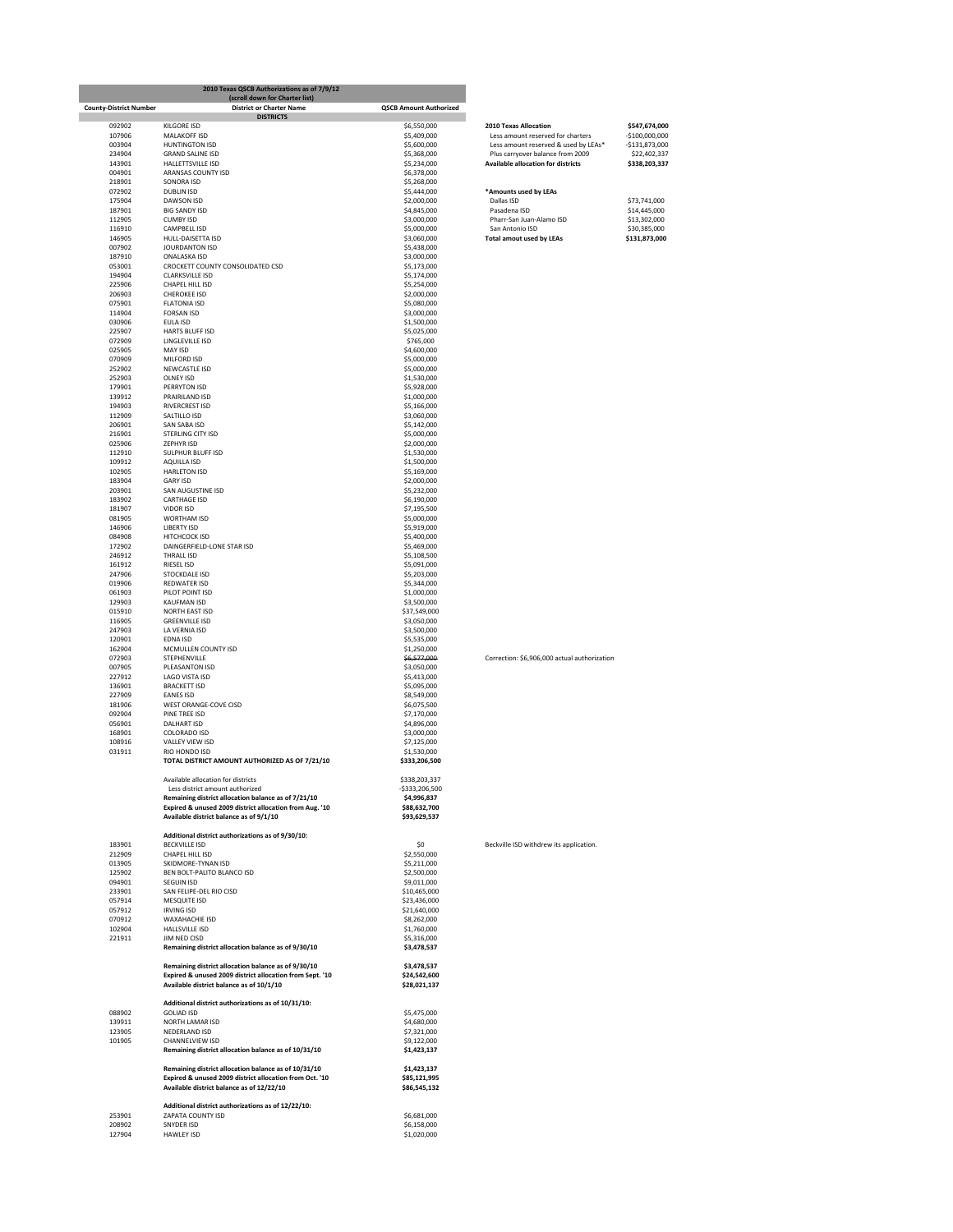|                               | 2010 Texas QSCB Authorizations as of 7/9/12<br>(scroll down for Charter list)                                  |                               |                                                                        |                               |
|-------------------------------|----------------------------------------------------------------------------------------------------------------|-------------------------------|------------------------------------------------------------------------|-------------------------------|
| <b>County-District Number</b> | <b>District or Charter Name</b><br><b>DISTRICTS</b>                                                            | <b>QSCB Amount Authorized</b> |                                                                        |                               |
| 092902                        | <b>KILGORE ISD</b>                                                                                             | \$6,550,000                   | <b>2010 Texas Allocation</b>                                           | \$547,674,000                 |
| 107906                        | MALAKOFF ISD                                                                                                   | \$5,409,000                   | Less amount reserved for charters                                      | $-$100,000,000$               |
| 003904                        | <b>HUNTINGTON ISD</b>                                                                                          | \$5,600,000                   | Less amount reserved & used by LEAs*                                   | $-$131,873,000$               |
| 234904<br>143901              | <b>GRAND SALINE ISD</b><br>HALLETTSVILLE ISD                                                                   | \$5,368,000<br>\$5,234,000    | Plus carryover balance from 2009<br>Available allocation for districts | \$22,402,337<br>\$338,203,337 |
| 004901                        | ARANSAS COUNTY ISD                                                                                             | \$6,378,000                   |                                                                        |                               |
| 218901                        | SONORA ISD                                                                                                     | \$5,268,000                   |                                                                        |                               |
| 072902<br>175904              | <b>DUBLIN ISD</b><br>DAWSON ISD                                                                                | \$5,444,000<br>\$2,000,000    | *Amounts used by LEAs<br>Dallas ISD                                    | \$73,741,000                  |
| 187901                        | <b>BIG SANDY ISD</b>                                                                                           | \$4,845,000                   | Pasadena ISD                                                           | \$14,445,000                  |
| 112905                        | <b>CUMBY ISD</b>                                                                                               | \$3,000,000                   | Pharr-San Juan-Alamo ISD                                               | \$13,302,000                  |
| 116910                        | <b>CAMPBELL ISD</b>                                                                                            | \$5,000,000                   | San Antonio ISD                                                        | \$30,385,000                  |
| 146905<br>007902              | HULL-DAISETTA ISD<br>JOURDANTON ISD                                                                            | \$3,060,000<br>\$5,438,000    | <b>Total amout used by LEAs</b>                                        | \$131,873,000                 |
| 187910                        | ONALASKA ISD                                                                                                   | \$3,000,000                   |                                                                        |                               |
| 053001                        | CROCKETT COUNTY CONSOLIDATED CSD                                                                               | \$5,173,000                   |                                                                        |                               |
| 194904<br>225906              | <b>CLARKSVILLE ISD</b><br>CHAPEL HILL ISD                                                                      | \$5,174,000                   |                                                                        |                               |
| 206903                        | <b>CHEROKEE ISD</b>                                                                                            | \$5,254,000<br>\$2,000,000    |                                                                        |                               |
| 075901                        | <b>FLATONIA ISD</b>                                                                                            | \$5,080,000                   |                                                                        |                               |
| 114904                        | <b>FORSAN ISD</b>                                                                                              | \$3,000,000                   |                                                                        |                               |
| 030906<br>225907              | EULA ISD<br>HARTS BLUFF ISD                                                                                    | \$1,500,000<br>\$5,025,000    |                                                                        |                               |
| 072909                        | LINGLEVILLE ISD                                                                                                | \$765,000                     |                                                                        |                               |
| 025905                        | MAY ISD                                                                                                        | \$4,600,000                   |                                                                        |                               |
| 070909<br>252902              | MILFORD ISD<br>NEWCASTLE ISD                                                                                   | \$5,000,000                   |                                                                        |                               |
| 252903                        | <b>OLNEY ISD</b>                                                                                               | \$5,000,000<br>\$1,530,000    |                                                                        |                               |
| 179901                        | PERRYTON ISD                                                                                                   | \$5,928,000                   |                                                                        |                               |
| 139912                        | PRAIRILAND ISD                                                                                                 | \$1,000,000                   |                                                                        |                               |
| 194903<br>112909              | <b>RIVERCREST ISD</b><br>SALTILLO ISD                                                                          | \$5,166,000<br>\$3,060,000    |                                                                        |                               |
| 206901                        | SAN SABA ISD                                                                                                   | \$5,142,000                   |                                                                        |                               |
| 216901                        | STERLING CITY ISD                                                                                              | \$5,000,000                   |                                                                        |                               |
| 025906                        | <b>ZEPHYR ISD</b>                                                                                              | \$2,000,000                   |                                                                        |                               |
| 112910<br>109912              | SULPHUR BLUFF ISD<br>AQUILLA ISD                                                                               | \$1,530,000<br>\$1,500,000    |                                                                        |                               |
| 102905                        | <b>HARLETON ISD</b>                                                                                            | \$5,169,000                   |                                                                        |                               |
| 183904                        | <b>GARY ISD</b>                                                                                                | \$2,000,000                   |                                                                        |                               |
| 203901                        | SAN AUGUSTINE ISD                                                                                              | \$5,232,000                   |                                                                        |                               |
| 183902<br>181907              | <b>CARTHAGE ISD</b><br><b>VIDOR ISD</b>                                                                        | \$6,190,000<br>\$7,195,500    |                                                                        |                               |
| 081905                        | WORTHAM ISD                                                                                                    | \$5,000,000                   |                                                                        |                               |
| 146906                        | <b>LIBERTY ISD</b>                                                                                             | \$5,919,000                   |                                                                        |                               |
| 084908<br>172902              | <b>HITCHCOCK ISD</b><br>DAINGERFIELD-LONE STAR ISD                                                             | \$5,400,000                   |                                                                        |                               |
| 246912                        | <b>THRALL ISD</b>                                                                                              | \$5,469,000<br>\$5,108,500    |                                                                        |                               |
| 161912                        | <b>RIESEL ISD</b>                                                                                              | \$5,091,000                   |                                                                        |                               |
| 247906                        | STOCKDALE ISD                                                                                                  | \$5,203,000                   |                                                                        |                               |
| 019906<br>061903              | <b>REDWATER ISD</b><br>PILOT POINT ISD                                                                         | \$5,344,000<br>\$1,000,000    |                                                                        |                               |
| 129903                        | <b>KAUFMAN ISD</b>                                                                                             | \$3,500,000                   |                                                                        |                               |
| 015910                        | NORTH EAST ISD                                                                                                 | \$37,549,000                  |                                                                        |                               |
| 116905<br>247903              | <b>GREENVILLE ISD</b><br>LA VERNIA ISD                                                                         | \$3,050,000<br>\$3,500,000    |                                                                        |                               |
| 120901                        | EDNA ISD                                                                                                       | \$5,535,000                   |                                                                        |                               |
| 162904                        | MCMULLEN COUNTY ISD                                                                                            | \$1,250,000                   |                                                                        |                               |
| 072903                        | STEPHENVILLE                                                                                                   | \$6,577,000                   | Correction: \$6,906,000 actual authorization                           |                               |
| 007905<br>227912              | PLEASANTON ISD<br>LAGO VISTA ISD                                                                               | \$3,050,000<br>\$5,413,000    |                                                                        |                               |
| 136901                        | <b>BRACKETT ISD</b>                                                                                            | \$5,095,000                   |                                                                        |                               |
| 227909                        | <b>FANES ISD</b>                                                                                               | \$8,549,000                   |                                                                        |                               |
| 181906<br>092904              | WEST ORANGE-COVE CISD<br>PINE TREE ISD                                                                         | \$6,075,500<br>\$7,170,000    |                                                                        |                               |
| 056901                        | <b>DALHART ISD</b>                                                                                             | \$4,896,000                   |                                                                        |                               |
| 168901                        | COLORADO ISD                                                                                                   | \$3,000,000                   |                                                                        |                               |
| 108916                        | VALLEY VIEW ISD                                                                                                | \$7,125,000                   |                                                                        |                               |
| 031911                        | <b>RIO HONDO ISD</b><br>TOTAL DISTRICT AMOUNT AUTHORIZED AS OF 7/21/10                                         | \$1,530,000<br>\$333,206,500  |                                                                        |                               |
|                               |                                                                                                                |                               |                                                                        |                               |
|                               | Available allocation for districts                                                                             | \$338,203,337                 |                                                                        |                               |
|                               | Less district amount authorized                                                                                | -\$333,206,500                |                                                                        |                               |
|                               | Remaining district allocation balance as of 7/21/10<br>Expired & unused 2009 district allocation from Aug. '10 | \$4,996,837<br>\$88,632,700   |                                                                        |                               |
|                               | Available district balance as of 9/1/10                                                                        | \$93,629,537                  |                                                                        |                               |
|                               |                                                                                                                |                               |                                                                        |                               |
| 183901                        | Additional district authorizations as of 9/30/10:<br><b>BECKVILLE ISD</b>                                      | \$0                           | Beckville ISD withdrew its application.                                |                               |
| 212909                        | CHAPEL HILL ISD                                                                                                | \$2,550,000                   |                                                                        |                               |
| 013905                        | SKIDMORE-TYNAN ISD                                                                                             | \$5,211,000                   |                                                                        |                               |
| 125902<br>094901              | BEN BOLT-PALITO BLANCO ISD<br><b>SEGUIN ISD</b>                                                                | \$2,500,000<br>\$9,011,000    |                                                                        |                               |
| 233901                        | SAN FELIPE-DEL RIO CISD                                                                                        | \$10,465,000                  |                                                                        |                               |
| 057914                        | MESQUITE ISD                                                                                                   | \$23,436,000                  |                                                                        |                               |
| 057912                        | <b>IRVING ISD</b>                                                                                              | \$21,640,000                  |                                                                        |                               |
| 070912<br>102904              | <b>WAXAHACHIE ISD</b><br><b>HALLSVILLE ISD</b>                                                                 | \$8,262,000<br>\$1,760,000    |                                                                        |                               |
| 221911                        | JIM NED CISD                                                                                                   | \$5,316,000                   |                                                                        |                               |
|                               | Remaining district allocation balance as of 9/30/10                                                            | \$3,478,537                   |                                                                        |                               |
|                               | Remaining district allocation balance as of 9/30/10                                                            | \$3,478,537                   |                                                                        |                               |
|                               | Expired & unused 2009 district allocation from Sept. '10                                                       | \$24,542,600                  |                                                                        |                               |
|                               | Available district balance as of 10/1/10                                                                       | \$28,021,137                  |                                                                        |                               |
|                               |                                                                                                                |                               |                                                                        |                               |
| 088902                        | Additional district authorizations as of 10/31/10:<br><b>GOLIAD ISD</b>                                        | \$5,475,000                   |                                                                        |                               |
| 139911                        | NORTH LAMAR ISD                                                                                                | \$4,680,000                   |                                                                        |                               |
| 123905                        | NEDERLAND ISD                                                                                                  | \$7,321,000                   |                                                                        |                               |
| 101905                        | CHANNELVIEW ISD                                                                                                | \$9,122,000                   |                                                                        |                               |
|                               | Remaining district allocation balance as of 10/31/10                                                           | \$1,423,137                   |                                                                        |                               |
|                               | Remaining district allocation balance as of 10/31/10                                                           | \$1,423,137                   |                                                                        |                               |
|                               | Expired & unused 2009 district allocation from Oct. '10                                                        | \$85,121,995                  |                                                                        |                               |
|                               | Available district balance as of 12/22/10                                                                      | \$86,545,132                  |                                                                        |                               |
|                               | Additional district authorizations as of 12/22/10:                                                             |                               |                                                                        |                               |
| 253901                        | ZAPATA COUNTY ISD                                                                                              | \$6,681,000                   |                                                                        |                               |
| 208902<br>127904              | SNYDER ISD<br><b>HAWLEY ISD</b>                                                                                | \$6,158,000<br>\$1,020,000    |                                                                        |                               |
|                               |                                                                                                                |                               |                                                                        |                               |

| <b>Allocation</b>            |  |
|------------------------------|--|
| int reserved for charters    |  |
| int reserved & used by LEAs* |  |
| over balance from 2009       |  |
| location for districts       |  |
|                              |  |
|                              |  |

| s usea by LEAS    |  |
|-------------------|--|
| .n                |  |
| ia ISD            |  |
| In Juan-Alamo ISD |  |
| onio ISD          |  |
| utured but EAs    |  |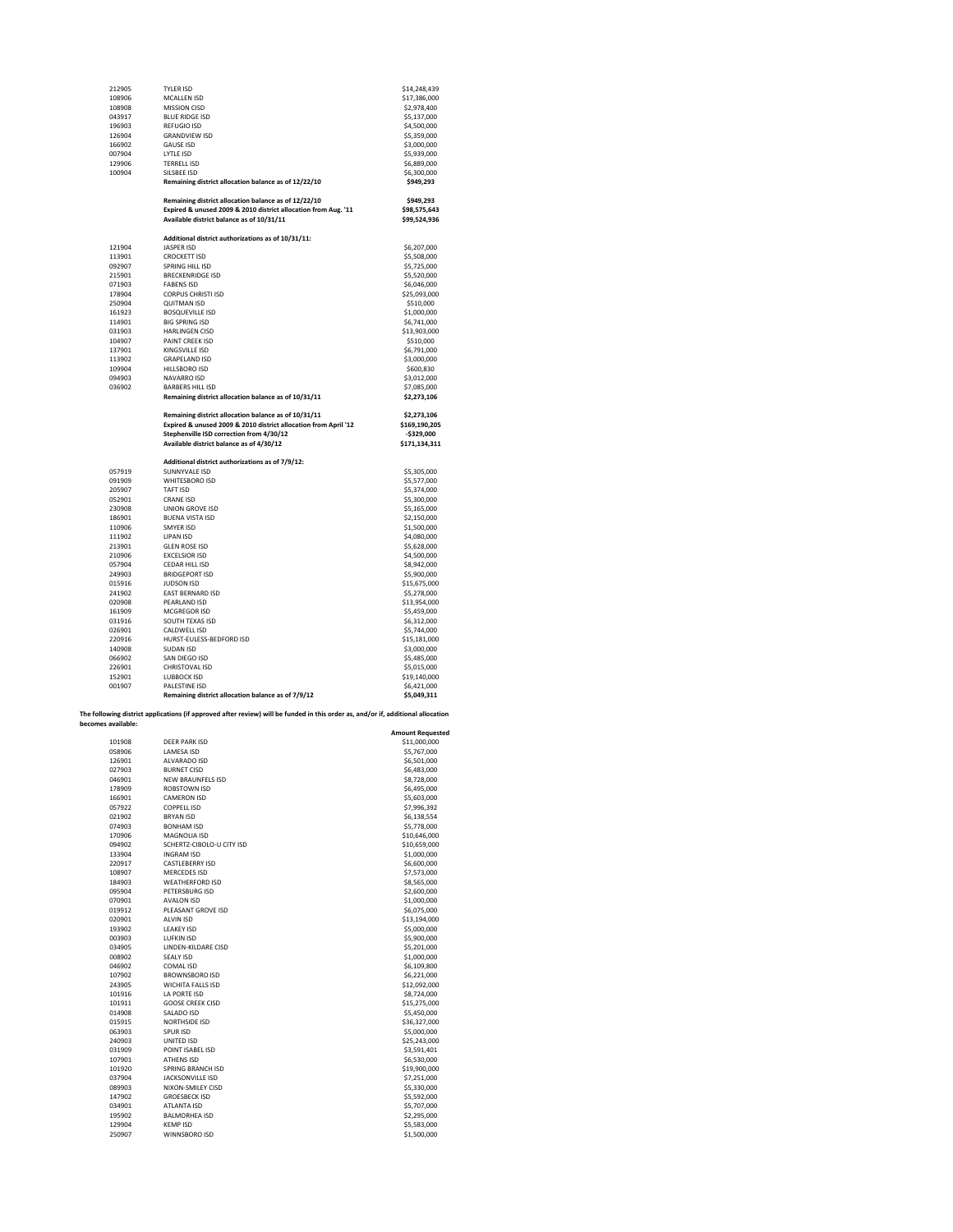| 212905             | <b>TYLER ISD</b>                                                                                                                 | \$14,248,439                 |
|--------------------|----------------------------------------------------------------------------------------------------------------------------------|------------------------------|
| 108906             | <b>MCALLEN ISD</b>                                                                                                               | \$17,386,000                 |
| 108908             | <b>MISSION CISD</b>                                                                                                              | \$2,978,400                  |
| 043917             | <b>BLUE RIDGE ISD</b>                                                                                                            | \$5,137,000                  |
| 196903             | <b>REFUGIO ISD</b>                                                                                                               | \$4,500,000                  |
| 126904             | <b>GRANDVIEW ISD</b>                                                                                                             | \$5,359,000                  |
| 166902             | <b>GAUSE ISD</b>                                                                                                                 | \$3,000,000                  |
|                    |                                                                                                                                  |                              |
| 007904             | LYTLE ISD                                                                                                                        | \$5,939,000                  |
| 129906             | <b>TERRELL ISD</b>                                                                                                               | \$6,889,000                  |
| 100904             | SILSBEE ISD                                                                                                                      | \$6,300,000                  |
|                    | Remaining district allocation balance as of 12/22/10                                                                             | \$949,293                    |
|                    | Remaining district allocation balance as of 12/22/10                                                                             | \$949,293                    |
|                    | Expired & unused 2009 & 2010 district allocation from Aug. '11<br>Available district balance as of 10/31/11                      | \$98,575,643<br>\$99,524,936 |
|                    | Additional district authorizations as of 10/31/11:                                                                               |                              |
| 121904             | <b>JASPER ISD</b>                                                                                                                | \$6,207,000                  |
| 113901             | <b>CROCKETT ISD</b>                                                                                                              | \$5,508,000                  |
|                    |                                                                                                                                  |                              |
| 092907             | SPRING HILL ISD                                                                                                                  | \$5,725,000                  |
| 215901             | <b>BRECKENRIDGE ISD</b>                                                                                                          | \$5,520,000                  |
| 071903             | <b>FABENS ISD</b>                                                                                                                | \$6,046,000                  |
| 178904             | <b>CORPUS CHRISTI ISD</b>                                                                                                        | \$25,093,000                 |
| 250904             | <b>QUITMAN ISD</b>                                                                                                               | \$510,000                    |
| 161923             | <b>BOSQUEVILLE ISD</b>                                                                                                           | \$1,000,000                  |
| 114901             | <b>BIG SPRING ISD</b>                                                                                                            | \$6,741,000                  |
| 031903             | <b>HARLINGEN CISD</b>                                                                                                            | \$13,903,000                 |
| 104907             | PAINT CREEK ISD                                                                                                                  | \$510,000                    |
| 137901             | KINGSVILLE ISD                                                                                                                   | \$6,791,000                  |
| 113902             | <b>GRAPELAND ISD</b>                                                                                                             | \$3,000,000                  |
| 109904             | HILLSBORO ISD                                                                                                                    | \$600,830                    |
| 094903             | NAVARRO ISD                                                                                                                      |                              |
|                    |                                                                                                                                  | \$3,012,000                  |
| 036902             | <b>BARBERS HILL ISD</b>                                                                                                          | \$7,085,000                  |
|                    | Remaining district allocation balance as of 10/31/11                                                                             | \$2,273,106                  |
|                    | Remaining district allocation balance as of 10/31/11                                                                             | \$2,273,106                  |
|                    | Expired & unused 2009 & 2010 district allocation from April '12                                                                  | \$169,190,205                |
|                    | Stephenville ISD correction from 4/30/12                                                                                         | $-5329.000$                  |
|                    | Available district balance as of 4/30/12                                                                                         | \$171,134,311                |
|                    |                                                                                                                                  |                              |
|                    | Additional district authorizations as of 7/9/12:                                                                                 |                              |
| 057919             | SUNNYVALE ISD                                                                                                                    |                              |
| 091909             | WHITESBORO ISD                                                                                                                   | \$5,305,000                  |
|                    |                                                                                                                                  | \$5,577,000                  |
| 205907             | TAFT ISD                                                                                                                         | \$5,374,000                  |
| 052901             | <b>CRANE ISD</b>                                                                                                                 | \$5,300,000                  |
| 230908             | <b>UNION GROVE ISD</b>                                                                                                           | \$5,165,000                  |
| 186901             | <b>BUENA VISTA ISD</b>                                                                                                           | \$2,150,000                  |
| 110906             | SMYFR ISD                                                                                                                        | \$1,500,000                  |
| 111902             | <b>LIPAN ISD</b>                                                                                                                 | \$4,080,000                  |
| 213901             | <b>GLEN ROSE ISD</b>                                                                                                             | \$5,628,000                  |
| 210906             | <b>EXCELSIOR ISD</b>                                                                                                             | \$4,500,000                  |
| 057904             | CEDAR HILL ISD                                                                                                                   | \$8,942,000                  |
| 249903             | <b>BRIDGEPORT ISD</b>                                                                                                            | \$5,900,000                  |
| 015916             | <b>IUDSON ISD</b>                                                                                                                |                              |
|                    |                                                                                                                                  | \$15,675,000                 |
| 241902             | EAST BERNARD ISD                                                                                                                 | \$5,278,000                  |
| 020908             | PEARLAND ISD                                                                                                                     | \$13,954,000                 |
| 161909             | MCGREGOR ISD                                                                                                                     | \$5,459,000                  |
| 031916             | SOUTH TEXAS ISD                                                                                                                  | \$6,312,000                  |
| 026901             | CALDWELL ISD                                                                                                                     | \$5,744,000                  |
| 220916             | HURST-EULESS-BEDFORD ISD                                                                                                         | \$15,181,000                 |
| 140908             | <b>SUDAN ISD</b>                                                                                                                 | \$3,000,000                  |
| 066902             | SAN DIEGO ISD                                                                                                                    | \$5,485,000                  |
| 226901             | CHRISTOVAL ISD                                                                                                                   | \$5,015,000                  |
| 152901             | LUBBOCK ISD                                                                                                                      | \$19,140,000                 |
| 001907             | <b>PALESTINE ISD</b>                                                                                                             |                              |
|                    |                                                                                                                                  | \$6,421,000                  |
|                    | Remaining district allocation balance as of 7/9/12                                                                               | \$5,049,311                  |
|                    | The following district applications (if approved after review) will be funded in this order as, and/or if, additional allocation |                              |
| becomes available: |                                                                                                                                  | <b>Amount Requested</b>      |
| 101908             | <b>DEER PARK ISD</b>                                                                                                             | \$11,000,000                 |
| 058906             | <b>LAMESA ISD</b>                                                                                                                | \$5,767,000                  |
| 126901             | ALVARADO ISD                                                                                                                     | \$6,501,000                  |
| 027903             | <b>BURNET CISD</b>                                                                                                               | \$6,483,000                  |
| 046901             | <b>NEW BRAUNFELS ISD</b>                                                                                                         | \$8,728,000                  |
| 178909             | ROBSTOWN ISD                                                                                                                     |                              |
|                    |                                                                                                                                  | \$6,495,000                  |
| 166901             | <b>CAMERON ISD</b>                                                                                                               | \$5,603,000                  |
| 057922             | <b>COPPELL ISD</b>                                                                                                               | \$7,996,392                  |
| <b>11003</b>       | <b>DOVANLIC</b>                                                                                                                  | 120E                         |

| 027903 | <b>BURNET CISD</b>        | \$6,483,000  |
|--------|---------------------------|--------------|
| 046901 | <b>NEW BRAUNFELS ISD</b>  | \$8,728,000  |
| 178909 | ROBSTOWN ISD              | \$6,495,000  |
| 166901 | <b>CAMERON ISD</b>        | \$5,603,000  |
| 057922 | <b>COPPELL ISD</b>        | \$7,996,392  |
| 021902 | <b>BRYAN ISD</b>          | \$6,138,554  |
| 074903 | <b>BONHAM ISD</b>         | \$5,778,000  |
| 170906 | MAGNOLIA ISD              | \$10,646,000 |
| 094902 | SCHERTZ-CIBOLO-U CITY ISD | \$10,659,000 |
| 133904 | <b>INGRAM ISD</b>         | \$1,000,000  |
| 220917 | <b>CASTLEBERRY ISD</b>    | \$6,600,000  |
| 108907 | <b>MERCEDES ISD</b>       | \$7,573,000  |
| 184903 | <b>WEATHERFORD ISD</b>    | \$8,565,000  |
| 095904 | PETERSBURG ISD            | \$2,600,000  |
| 070901 | <b>AVALON ISD</b>         | \$1,000,000  |
| 019912 | PLEASANT GROVE ISD        | \$6,075,000  |
| 020901 | <b>ALVIN ISD</b>          | \$13,194,000 |
| 193902 | <b>LEAKEY ISD</b>         | \$5,000,000  |
| 003903 | <b>LUFKIN ISD</b>         | \$5,900,000  |
| 034905 | LINDEN-KILDARE CISD       | \$5,201,000  |
| 008902 | <b>SEALY ISD</b>          | \$1,000,000  |
| 046902 | COMAL ISD                 | \$6,109,800  |
| 107902 | BROWNSBORO ISD            | \$6,221,000  |
| 243905 | <b>WICHITA FALLS ISD</b>  | \$12,092,000 |
| 101916 | LA PORTE ISD              | \$8,724,000  |
| 101911 | <b>GOOSE CREEK CISD</b>   | \$15,275,000 |
| 014908 | SALADO ISD                | \$5,450,000  |
| 015915 | NORTHSIDE ISD             | \$36,327,000 |
| 063903 | SPUR ISD                  | \$5,000,000  |
| 240903 | UNITED ISD                | \$25,243,000 |
| 031909 | POINT ISABEL ISD          | \$3,591,401  |
| 107901 | <b>ATHENS ISD</b>         | \$6,530,000  |
| 101920 | <b>SPRING BRANCH ISD</b>  | \$19,900,000 |
| 037904 | <b>JACKSONVILLE ISD</b>   | \$7,251,000  |
| 089903 | NIXON-SMILEY CISD         | \$5,330,000  |
| 147902 | <b>GROESBECK ISD</b>      | \$5,592,000  |
| 034901 | ATLANTA ISD               | \$5,707,000  |
| 195902 | <b>BALMORHEA ISD</b>      | \$2,295,000  |
| 129904 | <b>KEMP ISD</b>           | \$5,583,000  |
| 250907 | WINNSBORO ISD             | \$1,500,000  |